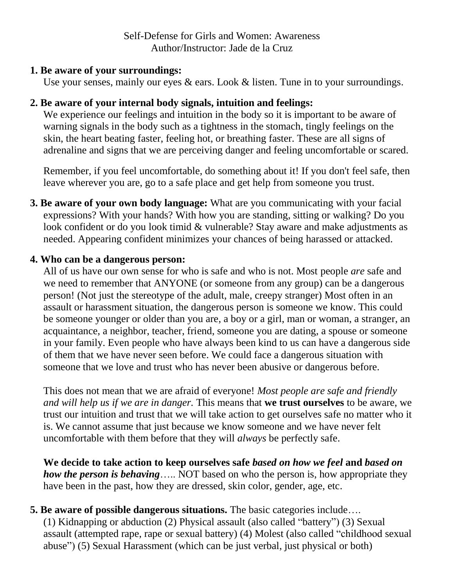### **1. Be aware of your surroundings:**

Use your senses, mainly our eyes & ears. Look & listen. Tune in to your surroundings.

# **2. Be aware of your internal body signals, intuition and feelings:**

We experience our feelings and intuition in the body so it is important to be aware of warning signals in the body such as a tightness in the stomach, tingly feelings on the skin, the heart beating faster, feeling hot, or breathing faster. These are all signs of adrenaline and signs that we are perceiving danger and feeling uncomfortable or scared.

Remember, if you feel uncomfortable, do something about it! If you don't feel safe, then leave wherever you are, go to a safe place and get help from someone you trust.

**3. Be aware of your own body language:** What are you communicating with your facial expressions? With your hands? With how you are standing, sitting or walking? Do you look confident or do you look timid & vulnerable? Stay aware and make adjustments as needed. Appearing confident minimizes your chances of being harassed or attacked.

# **4. Who can be a dangerous person:**

All of us have our own sense for who is safe and who is not. Most people *are* safe and we need to remember that ANYONE (or someone from any group) can be a dangerous person! (Not just the stereotype of the adult, male, creepy stranger) Most often in an assault or harassment situation, the dangerous person is someone we know. This could be someone younger or older than you are, a boy or a girl, man or woman, a stranger, an acquaintance, a neighbor, teacher, friend, someone you are dating, a spouse or someone in your family. Even people who have always been kind to us can have a dangerous side of them that we have never seen before. We could face a dangerous situation with someone that we love and trust who has never been abusive or dangerous before.

This does not mean that we are afraid of everyone! *Most people are safe and friendly and will help us if we are in danger.* This means that **we trust ourselves** to be aware, we trust our intuition and trust that we will take action to get ourselves safe no matter who it is. We cannot assume that just because we know someone and we have never felt uncomfortable with them before that they will *always* be perfectly safe.

**We decide to take action to keep ourselves safe** *based on how we feel* **and** *based on how the person is behaving*….. NOT based on who the person is, how appropriate they have been in the past, how they are dressed, skin color, gender, age, etc.

# **5. Be aware of possible dangerous situations.** The basic categories include….

(1) Kidnapping or abduction (2) Physical assault (also called "battery") (3) Sexual assault (attempted rape, rape or sexual battery) (4) Molest (also called "childhood sexual abuse") (5) Sexual Harassment (which can be just verbal, just physical or both)